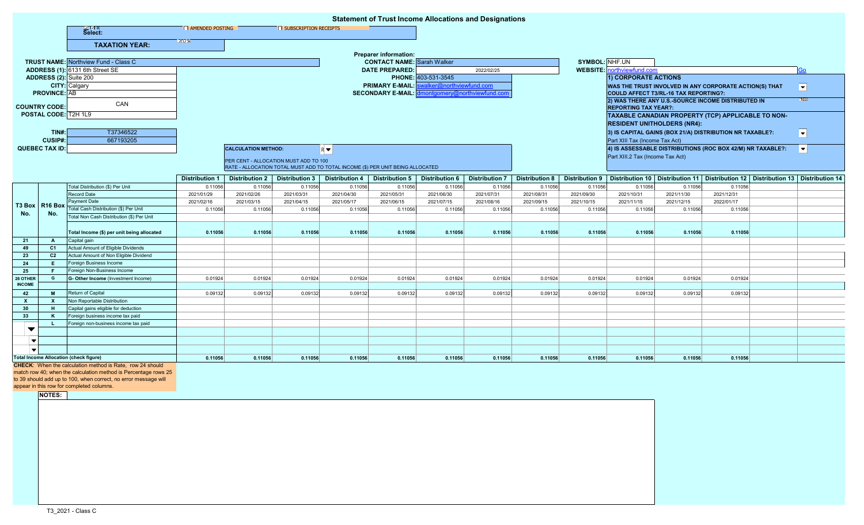| <b>Statement of Trust Income Allocations and Designations</b> |                                                           |                                                                    |                          |                                       |                       |                                                                                |                                                          |                       |                       |                       |                       |                                                                                                 |            |                                                                                         |                          |
|---------------------------------------------------------------|-----------------------------------------------------------|--------------------------------------------------------------------|--------------------------|---------------------------------------|-----------------------|--------------------------------------------------------------------------------|----------------------------------------------------------|-----------------------|-----------------------|-----------------------|-----------------------|-------------------------------------------------------------------------------------------------|------------|-----------------------------------------------------------------------------------------|--------------------------|
|                                                               |                                                           | 데UR<br>Select:                                                     | <b>E AMENDED POSTING</b> |                                       | SUBSCRIPTION RECEIPTS |                                                                                |                                                          |                       |                       |                       |                       |                                                                                                 |            |                                                                                         |                          |
|                                                               |                                                           | <b>TAXATION YEAR:</b>                                              | 2021-                    |                                       |                       |                                                                                |                                                          |                       |                       |                       |                       |                                                                                                 |            |                                                                                         |                          |
|                                                               |                                                           |                                                                    |                          |                                       |                       |                                                                                | <b>Preparer information:</b>                             |                       |                       |                       |                       |                                                                                                 |            |                                                                                         |                          |
|                                                               |                                                           | <b>TRUST NAME:</b> Northview Fund - Class C                        |                          |                                       |                       |                                                                                | <b>CONTACT NAME:</b> Sarah Walker                        |                       |                       |                       | SYMBOL: NHF.UN        |                                                                                                 |            |                                                                                         |                          |
|                                                               |                                                           | ADDRESS (1): 6131 6th Street SE                                    |                          |                                       |                       |                                                                                | <b>DATE PREPARED:</b>                                    |                       | 2022/02/25            |                       |                       | <b>WEBSITE:</b> northviewfund.com                                                               |            |                                                                                         | Go                       |
| ADDRESS (2): Suite 200                                        |                                                           |                                                                    |                          |                                       |                       |                                                                                | PHONE: 403-531-3545                                      |                       |                       |                       |                       | <b>1) CORPORATE ACTIONS</b>                                                                     |            |                                                                                         |                          |
|                                                               |                                                           | <b>CITY:</b> Calgary                                               |                          |                                       |                       |                                                                                | <b>PRIMARY E-MAIL:</b><br>valker@northviewfund.com       |                       |                       |                       |                       | WAS THE TRUST INVOLVED IN ANY CORPORATE ACTION(S) THAT<br>COULD AFFECT T3/RL-16 TAX REPORTING?: |            |                                                                                         | $\vert \mathbf{v} \vert$ |
| <b>PROVINCE: AB</b>                                           |                                                           |                                                                    |                          |                                       |                       |                                                                                | <b>SECONDARY E-MAIL:</b><br>montgomery@northviewfund.cor |                       |                       |                       |                       |                                                                                                 |            |                                                                                         |                          |
|                                                               |                                                           | CAN                                                                |                          |                                       |                       |                                                                                |                                                          |                       |                       |                       |                       | 2) WAS THERE ANY U.S.-SOURCE INCOME DISTRIBUTED IN                                              |            |                                                                                         | NÆ.                      |
| <b>COUNTRY CODE:</b>                                          |                                                           |                                                                    |                          |                                       |                       |                                                                                |                                                          |                       |                       |                       |                       | <b>REPORTING TAX YEAR?:</b>                                                                     |            |                                                                                         |                          |
| POSTAL CODE: T2H 1L9                                          |                                                           |                                                                    |                          |                                       |                       |                                                                                |                                                          |                       |                       |                       |                       |                                                                                                 |            | TAXABLE CANADIAN PROPERTY (TCP) APPLICABLE TO NON-                                      |                          |
|                                                               |                                                           |                                                                    |                          |                                       |                       |                                                                                |                                                          |                       |                       |                       |                       | <b>RESIDENT UNITHOLDERS (NR4):</b>                                                              |            |                                                                                         |                          |
|                                                               | TINH:                                                     | T37346522                                                          |                          |                                       |                       |                                                                                |                                                          |                       |                       |                       |                       |                                                                                                 |            | 3) IS CAPITAL GAINS (BOX 21/A) DISTRIBUTION NR TAXABLE?:                                | $\vert \mathbf{v} \vert$ |
| <b>CUSIP#:</b>                                                |                                                           | 667193205                                                          |                          |                                       |                       |                                                                                |                                                          |                       |                       |                       |                       | Part XIII Tax (Income Tax Act)                                                                  |            |                                                                                         |                          |
|                                                               | <b>QUEBEC TAX ID:</b>                                     |                                                                    |                          | <b>CALCULATION METHOD:</b>            |                       | $R$ $\blacktriangledown$                                                       |                                                          |                       |                       |                       |                       |                                                                                                 |            | 4) IS ASSESSABLE DISTRIBUTIONS (ROC BOX 42/M) NR TAXABLE?:                              | $ \mathbf{v} $           |
|                                                               |                                                           |                                                                    |                          |                                       |                       |                                                                                |                                                          |                       |                       |                       |                       | Part XIII.2 Tax (Income Tax Act)                                                                |            |                                                                                         |                          |
|                                                               |                                                           |                                                                    |                          | PER CENT - ALLOCATION MUST ADD TO 100 |                       | RATE - ALLOCATION TOTAL MUST ADD TO TOTAL INCOME (\$) PER UNIT BEING ALLOCATED |                                                          |                       |                       |                       |                       |                                                                                                 |            |                                                                                         |                          |
|                                                               |                                                           |                                                                    |                          |                                       |                       |                                                                                |                                                          |                       |                       |                       |                       |                                                                                                 |            |                                                                                         |                          |
|                                                               |                                                           |                                                                    | <b>Distribution 1</b>    | <b>Distribution 2</b>                 | <b>Distribution 3</b> | <b>Distribution 4</b>                                                          | <b>Distribution 5</b>                                    | <b>Distribution 6</b> | <b>Distribution 7</b> | <b>Distribution 8</b> | <b>Distribution 9</b> |                                                                                                 |            | Distribution 10   Distribution 11   Distribution 12   Distribution 13   Distribution 14 |                          |
| No.                                                           | T3 Box R16 Box<br>No.                                     | Total Distribution (\$) Per Unit                                   | 0.11056                  | 0.11056                               | 0.11056               | 0.11056                                                                        | 0.11056                                                  | 0.11056               | 0.11056               | 0.11056               | 0.11056               | 0.11056                                                                                         | 0.11056    | 0.11056                                                                                 |                          |
|                                                               |                                                           | <b>Record Date</b>                                                 | 2021/01/29               | 2021/02/26                            | 2021/03/31            | 2021/04/30                                                                     | 2021/05/31                                               | 2021/06/30            | 2021/07/31            | 2021/08/31            | 2021/09/30            | 2021/10/31                                                                                      | 2021/11/30 | 2021/12/31                                                                              |                          |
|                                                               |                                                           | Payment Date<br>Total Cash Distribution (\$) Per Unit              | 2021/02/16               | 2021/03/15                            | 2021/04/15            | 2021/05/17                                                                     | 2021/06/15                                               | 2021/07/15            | 2021/08/16            | 2021/09/15            | 2021/10/15            | 2021/11/15                                                                                      | 2021/12/15 | 2022/01/17                                                                              |                          |
|                                                               |                                                           | Total Non Cash Distribution (\$) Per Unit                          | 0.11056                  | 0.11056                               | 0.11056               | 0.11056                                                                        | 0.11056                                                  | 0.11056               | 0.11056               | 0.11056               | 0.11056               | 0.11056                                                                                         | 0.11056    | 0.11056                                                                                 |                          |
|                                                               |                                                           |                                                                    |                          |                                       |                       |                                                                                |                                                          |                       |                       |                       |                       |                                                                                                 |            |                                                                                         |                          |
|                                                               |                                                           | Total Income (\$) per unit being allocated                         | 0.11056                  | 0.11056                               | 0.11056               | 0.11056                                                                        | 0.11056                                                  | 0.11056               | 0.11056               | 0.11056               | 0.11056               | 0.11056                                                                                         | 0.11056    | 0.11056                                                                                 |                          |
| 21                                                            | A                                                         | Capital gain                                                       |                          |                                       |                       |                                                                                |                                                          |                       |                       |                       |                       |                                                                                                 |            |                                                                                         |                          |
| 49                                                            | C <sub>1</sub>                                            | Actual Amount of Eligible Dividends                                |                          |                                       |                       |                                                                                |                                                          |                       |                       |                       |                       |                                                                                                 |            |                                                                                         |                          |
| 23                                                            | C <sub>2</sub>                                            | Actual Amount of Non Eligible Dividend                             |                          |                                       |                       |                                                                                |                                                          |                       |                       |                       |                       |                                                                                                 |            |                                                                                         |                          |
| 24                                                            | E.                                                        | Foreign Business Income                                            |                          |                                       |                       |                                                                                |                                                          |                       |                       |                       |                       |                                                                                                 |            |                                                                                         |                          |
| 25                                                            | G                                                         | Foreign Non-Business Income<br>G- Other Income (Investment Income) |                          |                                       |                       |                                                                                |                                                          |                       |                       |                       |                       |                                                                                                 |            |                                                                                         |                          |
| 26 OTHER<br><b>INCOME</b>                                     |                                                           |                                                                    | 0.01924                  | 0.01924                               | 0.01924               | 0.01924                                                                        | 0.01924                                                  | 0.01924               | 0.01924               | 0.01924               | 0.01924               | 0.01924                                                                                         | 0.01924    | 0.01924                                                                                 |                          |
| 42                                                            | <b>M</b>                                                  | Return of Capital                                                  | 0.09132                  | 0.09132                               | 0.09132               | 0.09132                                                                        | 0.09132                                                  | 0.09132               | 0.09132               | 0.09132               | 0.09132               | 0.09132                                                                                         | 0.09132    | 0.09132                                                                                 |                          |
| <b>X</b>                                                      | X                                                         | Non Reportable Distribution                                        |                          |                                       |                       |                                                                                |                                                          |                       |                       |                       |                       |                                                                                                 |            |                                                                                         |                          |
| 30                                                            | H                                                         | Capital gains eligible for deduction                               |                          |                                       |                       |                                                                                |                                                          |                       |                       |                       |                       |                                                                                                 |            |                                                                                         |                          |
| 33                                                            | K                                                         | Foreign business income tax paid                                   |                          |                                       |                       |                                                                                |                                                          |                       |                       |                       |                       |                                                                                                 |            |                                                                                         |                          |
|                                                               | л.                                                        | Foreign non-business income tax paid                               |                          |                                       |                       |                                                                                |                                                          |                       |                       |                       |                       |                                                                                                 |            |                                                                                         |                          |
| ▼                                                             |                                                           |                                                                    |                          |                                       |                       |                                                                                |                                                          |                       |                       |                       |                       |                                                                                                 |            |                                                                                         |                          |
| $\blacksquare$                                                |                                                           |                                                                    |                          |                                       |                       |                                                                                |                                                          |                       |                       |                       |                       |                                                                                                 |            |                                                                                         |                          |
|                                                               |                                                           |                                                                    |                          |                                       |                       |                                                                                |                                                          |                       |                       |                       |                       |                                                                                                 |            |                                                                                         |                          |
| <b>Total Income Allocation (check figure)</b>                 |                                                           |                                                                    | 0.11056                  | 0.11056                               | 0.11056               | 0.11056                                                                        | 0.11056                                                  | 0.11056               | 0.11056               | 0.11056               | 0.11056               | 0.11056                                                                                         | 0.11056    | 0.11056                                                                                 |                          |
|                                                               | CHECK: When the calculation method is Rate, row 24 should |                                                                    |                          |                                       |                       |                                                                                |                                                          |                       |                       |                       |                       |                                                                                                 |            |                                                                                         |                          |

match row 40; when the calculation method is Percentage rows 25

to 39 should add up to 100, when correct, no error message will

appear in this row for completed columns.

**NOTES:**